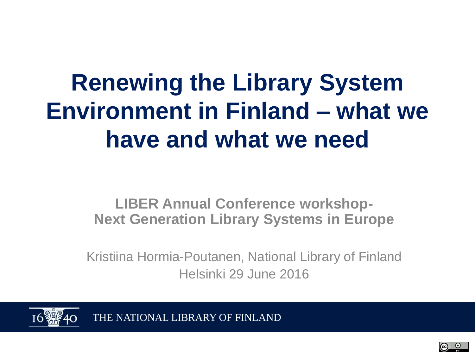## **Renewing the Library System Environment in Finland – what we have and what we need**

### **LIBER Annual Conference workshop-Next Generation Library Systems in Europe**

Kristiina Hormia-Poutanen, National Library of Finland Helsinki 29 June 2016



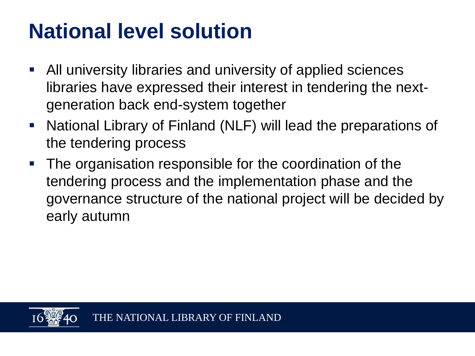### **National level solution**

- All university libraries and university of applied sciences libraries have expressed their interest in tendering the nextgeneration back end-system together
- National Library of Finland (NLF) will lead the preparations of the tendering process
- **The organisation responsible for the coordination of the** tendering process and the implementation phase and the governance structure of the national project will be decided by early autumn

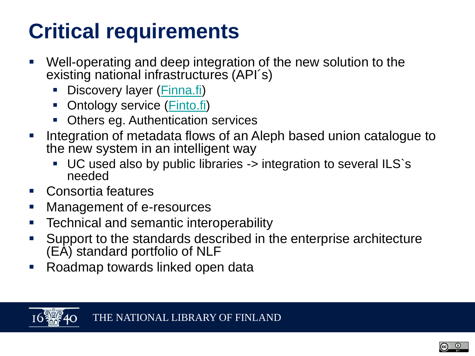### **Critical requirements**

- Well-operating and deep integration of the new solution to the existing national infrastructures (API´s)
	- Discovery layer ([Finna.fi\)](https://www.finna.fi/?lng=en-gb)
	- Ontology service (*Finto.fi*)
	- Others eg. Authentication services
- **Integration of metadata flows of an Aleph based union catalogue to** the new system in an intelligent way
	- UC used also by public libraries -> integration to several ILS`s needed
- Consortia features
- **Management of e-resources**
- Technical and semantic interoperability
- Support to the standards described in the enterprise architecture (EA) standard portfolio of NLF
- **Roadmap towards linked open data**

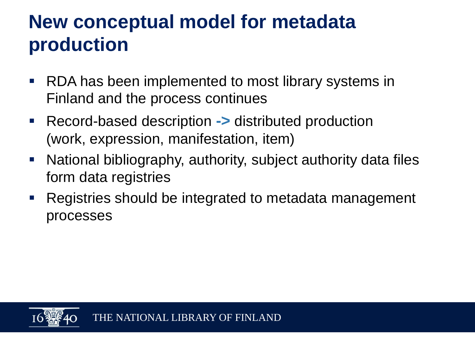### **New conceptual model for metadata production**

- **RDA has been implemented to most library systems in** Finland and the process continues
- Record-based description **->** distributed production (work, expression, manifestation, item)
- National bibliography, authority, subject authority data files form data registries
- Registries should be integrated to metadata management processes

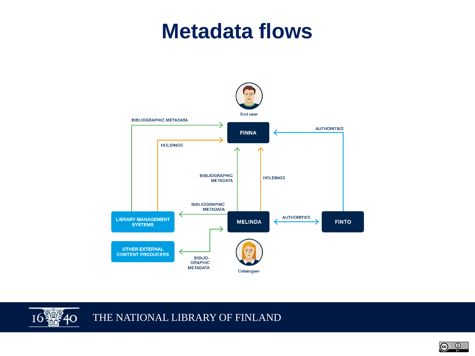### **Metadata flows**





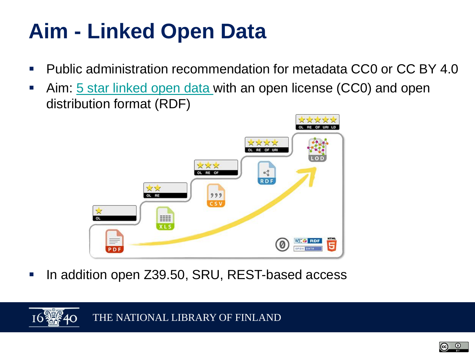### **Aim - Linked Open Data**

- **Public administration recommendation for metadata CC0 or CC BY 4.0**
- Aim: [5 star linked open data](http://5stardata.info/en/) with an open license (CC0) and open distribution format (RDF)



■ In addition open Z39.50, SRU, REST-based access

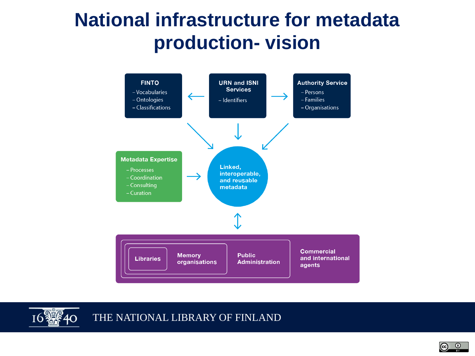### **National infrastructure for metadata production- vision**